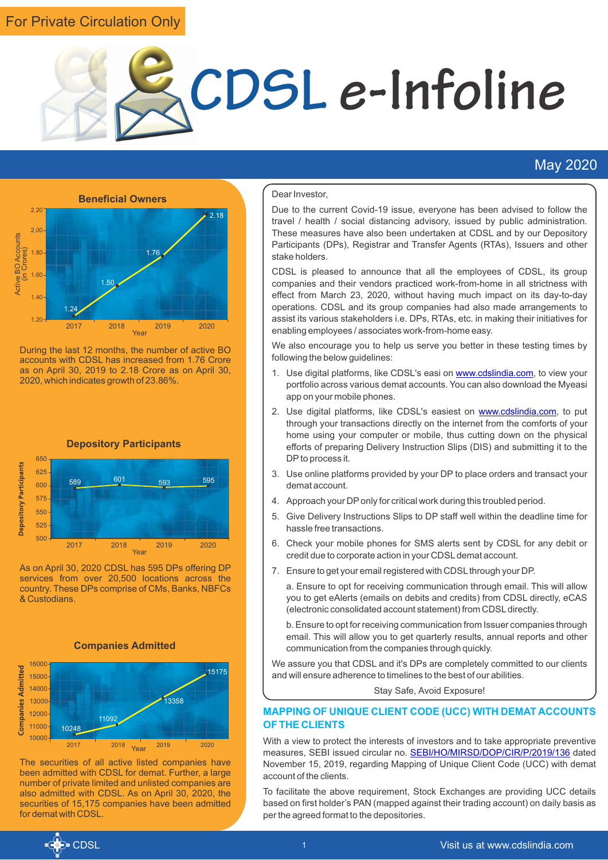## For Private Circulation Only



### May 2020



During the last 12 months, the number of active BO accounts with CDSL has increased from 1.76 Crore as on April 30, 2019 to 2.18 Crore as on April 30, 2020, which indicates growth of 23.86%.



As on April 30, 2020 CDSL has 595 DPs offering DP services from over 20,500 locations across the country. These DPs comprise of CMs, Banks, NBFCs & Custodians.



The securities of all active listed companies have been admitted with CDSL for demat. Further, a large number of private limited and unlisted companies are also admitted with CDSL. As on April 30, 2020, the securities of 15,175 companies have been admitted for demat with CDSL.

#### Dear Investor,

Due to the current Covid-19 issue, everyone has been advised to follow the travel / health / social distancing advisory, issued by public administration. These measures have also been undertaken at CDSL and by our Depository Participants (DPs), Registrar and Transfer Agents (RTAs), Issuers and other stake holders.

CDSL is pleased to announce that all the employees of CDSL, its group companies and their vendors practiced work-from-home in all strictness with effect from March 23, 2020, without having much impact on its day-to-day operations. CDSL and its group companies had also made arrangements to assist its various stakeholders i.e. DPs, RTAs, etc. in making their initiatives for enabling employees / associates work-from-home easy.

We also encourage you to help us serve you better in these testing times by following the below guidelines:

- 1.Use digital platforms, like CDSL's easi on www.cdslindia.com, to view your portfolio across various demat accounts. You can also download the Myeasi app on your mobile phones.
- 2. Use digital platforms, like CDSL's easiest on **www.cdslindia.com**, to put through your transactions directly on the internet from the comforts of your home using your computer or mobile, thus cutting down on the physical efforts of preparing Delivery Instruction Slips (DIS) and submitting it to the DPto process it.
- 3. Use online platforms provided by your DP to place orders and transact your demat account.
- 4. Approach your DPonly for critical work during this troubled period.
- 5. Give Delivery Instructions Slips to DP staff well within the deadline time for hassle free transactions.
- 6. Check your mobile phones for SMS alerts sent by CDSL for any debit or credit due to corporate action in your CDSLdemat account.
- 7. Ensure to get your email registered with CDSL through your DP.

a. Ensure to opt for receiving communication through email. This will allow you to get eAlerts (emails on debits and credits) from CDSL directly, eCAS (electronic consolidated account statement) from CDSLdirectly.

b. Ensure to opt for receiving communication from Issuer companies through email. This will allow you to get quarterly results, annual reports and other communication from the companies through quickly.

We assure you that CDSL and it's DPs are completely committed to our clients and will ensure adherence to timelines to the best of our abilities.

Stay Safe, Avoid Exposure!

#### **MAPPING OF UNIQUE CLIENT CODE (UCC) WITH DEMAT ACCOUNTS OF THE CLIENTS**

With a view to protect the interests of investors and to take appropriate preventive measures,SEBI issued circular no. **SEBI/HO/MIRSD/DOP/CIR/P/2019/136** dated November 15, 2019, regarding Mapping of Unique Client Code (UCC) with demat account of the clients.

To facilitate the above requirement, Stock Exchanges are providing UCC details based on first holder's PAN (mapped against their trading account) on daily basis as per the agreed format to the depositories.

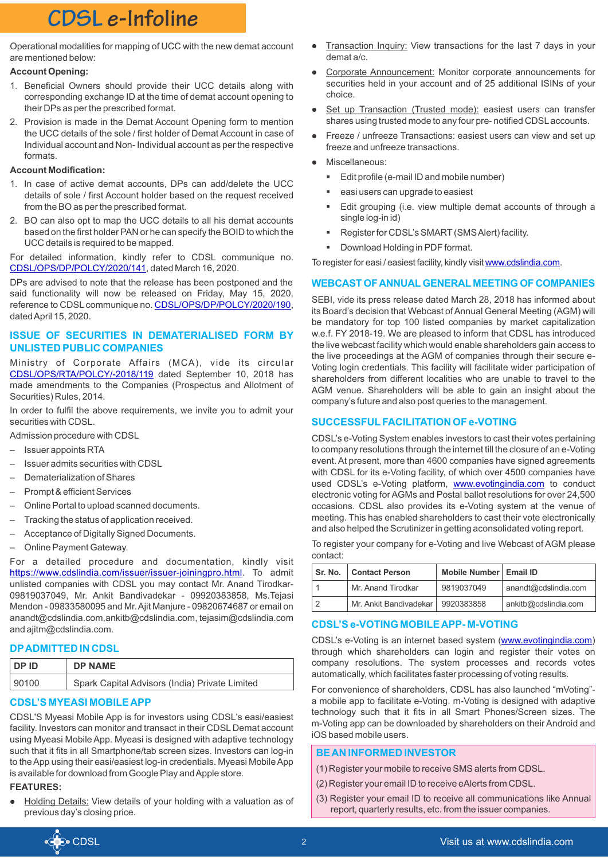Operational modalities for mapping of UCC with the new demat account are mentioned below:

#### **Account Opening:**

- 1. Beneficial Owners should provide their UCC details along with corresponding exchange ID at the time of demat account opening to their DPs as per the prescribed format.
- 2. Provision is made in the Demat Account Opening form to mention the UCC details of the sole / first holder of Demat Account in case of Individual account and Non- Individual account as per the respective formats.

#### **Account Modification:**

- 1. In case of active demat accounts, DPs can add/delete the UCC details of sole / first Account holder based on the request received from the BO as per the prescribed format.
- 2. BO can also opt to map the UCC details to all his demat accounts based on the first holder PAN or he can specify the BOID to which the UCC details is required to be mapped.

[For detailed information, kindly refer to CDSL](https://www.cdslindia.com/publications/commprocedure.aspx?eventid=DP2020-141) communique no. CDSL/OPS/DP/POLCY/2020/141, dated March 16, 2020.

DPs are advised to note that the release has been postponed and the said functionality will now be released on Friday, May 15, 2020, reference to CDSL communique no. CDSL/OPS/DP/POLCY/2020/190, dated April 15, 2020.

#### **ISSUE OF SECURITIES IN DEMATERIALISED FORM BY UNLISTED PUBLIC COMPANIES**

Ministry of Corporate Affairs (MCA), vide its circular [CDSL/OPS/RTA/POLCY/-2018/119](https://www.cdslindia.com/publications/commprocedure.aspx?eventid=RTA2018-119) dated September 10, 2018 has made amendments to the Companies (Prospectus and Allotment of Securities) Rules, 2014.

In order to fulfil the above requirements, we invite you to admit your securities with CDSL.

Admission procedure with CDSL

- Issuer appoints RTA
- Issuer admits securities with CDSL
- Dematerialization of Shares
- Prompt & efficient Services
- Online Portal to upload scanned documents.
- Tracking the status of application received.
- Acceptance of Digitally Signed Documents.
- Online Payment Gateway.

For a detailed procedure and documentation, kindly visit <https://www.cdslindia.com/issuer/issuer-joiningpro.html></u>. To admit unlisted companies with CDSL you may contact Mr. Anand Tirodkar-09819037049, Mr. Ankit Bandivadekar - 09920383858, Ms.Tejasi Mendon - 09833580095 and Mr. Ajit Manjure - 09820674687 or email on anandt@cdslindia.com,ankitb@cdslindia.com, tejasim@cdslindia.com and ajitm@cdslindia.com.

#### **DPADMITTED IN CDSL**

| DP ID | <b>DP NAME</b>                                 |
|-------|------------------------------------------------|
| 90100 | Spark Capital Advisors (India) Private Limited |

## **CDSL'S MYEASI MOBILE APP**

CDSL'S Myeasi Mobile App is for investors using CDSL's easi/easiest facility. Investors can monitor and transact in their CDSL Demat account using Myeasi Mobile App. Myeasi is designed with adaptive technology such that it fits in all Smartphone/tab screen sizes. Investors can log-in to the App using their easi/easiest log-in credentials. Myeasi Mobile App is available for download from Google Play and Apple store.

### **FEATURES:**

Holding Details: View details of your holding with a valuation as of previous day's closing price.

- l demat a/c. Transaction Inquiry: View transactions for the last 7 days in your
- Corporate Announcement: Monitor corporate announcements for securities held in your account and of 25 additional ISINs of your choice.
- Set up Transaction (Trusted mode): easiest users can transfer shares using trusted mode to any four pre- notified CDSLaccounts.
- Freeze / unfreeze Transactions: easiest users can view and set up freeze and unfreeze transactions.
- Miscellaneous:
	- § Edit profile (e-mail ID and mobile number)
	- easi users can upgrade to easiest
	- Edit grouping (i.e. view multiple demat accounts of through a single log-in id)
	- Register for CDSL's SMART (SMS Alert) facility.
	- Download Holding in PDF format.

Toregister for easi / easiest facility, kindly visit www.cdslindia.com.

#### **WEBCAST OF ANNUALGENERAL MEETING OF COMPANIES**

SEBI, vide its press release dated March 28, 2018 has informed about its Board's decision that Webcast of Annual General Meeting (AGM) will be mandatory for top 100 listed companies by market capitalization w.e.f. FY 2018-19. We are pleased to inform that CDSL has introduced the live webcast facility which would enable shareholders gain access to the live proceedings at the AGM of companies through their secure e-Voting login credentials. This facility will facilitate wider participation of shareholders from different localities who are unable to travel to the AGM venue. Shareholders will be able to gain an insight about the company's future and also post queries to the management.

#### **SUCCESSFULFACILITATION OF e-VOTING**

CDSL's e-Voting System enables investors to cast their votes pertaining to company resolutions through the internet till the closure of an e-Voting event. At present, more than 4600 companies have signed agreements with CDSL for its e-Voting facility, of which over 4500 companies have used CDSL's e-Voting platform, **www.evotingindia.com** to conduct electronic voting for AGMs and Postal ballot resolutions for over 24,500 occasions. CDSL also provides its e-Voting system at the venue of meeting. This has enabled shareholders to cast their vote electronically and also helped the Scrutinizer in getting aconsolidated voting report.

To register your company for e-Voting and live Webcast of AGM please contact:

| Sr. No.   Contact Person | Mobile Number   Email ID |                      |
|--------------------------|--------------------------|----------------------|
| Mr. Anand Tirodkar       | 9819037049               | anandt@cdslindia.com |
| Mr. Ankit Bandivadekar   | 9920383858               | ankitb@cdslindia.com |

#### **CDSL'S e-VOTING MOBILE APP- M-VOTING**

CDSL's e-Voting is an internet based system ([www.evotingindia.com](https://www.evotingindia.com/)) through which shareholders can login and register their votes on company resolutions. The system processes and records votes automatically, which facilitates faster processing of voting results.

For convenience of shareholders, CDSL has also launched "mVoting" a mobile app to facilitate e-Voting. m-Voting is designed with adaptive technology such that it fits in all Smart Phones/Screen sizes. The m-Voting app can be downloaded by shareholders on their Android and iOS based mobile users.

#### **BE AN INFORMED INVESTOR**

- (1) Register your mobile to receive SMS alerts from CDSL.
- (2) Register your email ID to receive eAlerts from CDSL.
- (3) Register your email ID to receive all communications like Annual report, quarterly results, etc. from the issuer companies.

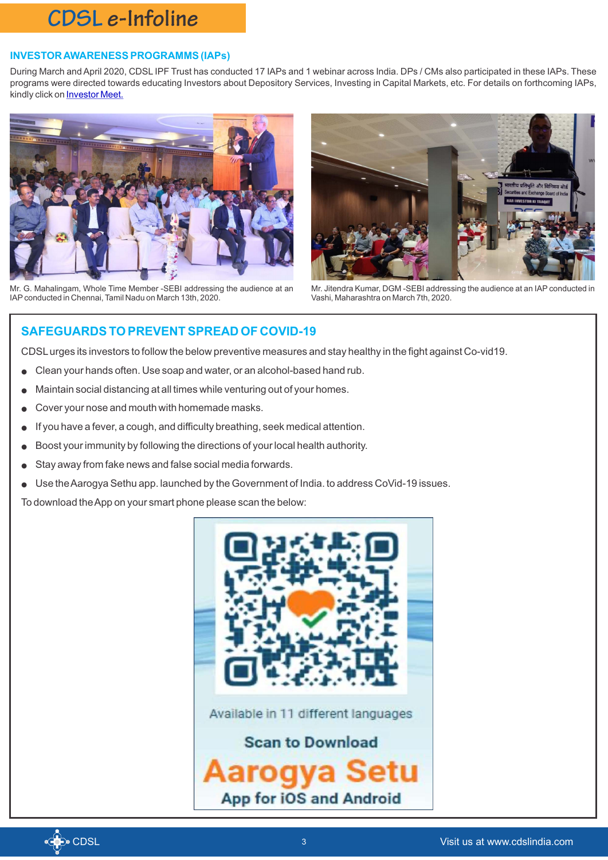#### **INVESTOR AWARENESS PROGRAMMS (IAPs)**

During March and April 2020, CDSL IPF Trust has conducted 17 IAPs and 1 webinar across India. DPs / CMs also participated in these IAPs. These programs were directed towards educating Investors about Depository Services, Investing in Capital Markets, etc. For details on forthcoming IAPs, kindly click on [Investor Meet](https://www.cdslindia.com/investors/investor-meet.aspx)[.](https://www.sebi.gov.in/legal/circulars/nov-2019/mapping-of-unique-client-code-ucc-with-demat-account-of-the-clients_44983.html)



Mr. G. Mahalingam, Whole Time Member -SEBI addressing the audience at an IAPconducted in Chennai, Tamil Nadu on March 13th, 2020.

![](_page_2_Picture_5.jpeg)

Mr. Jitendra Kumar, DGM -SEBI addressing the audience at an IAP conducted in Vashi, Maharashtra on March 7th, 2020.

### **SAFEGUARDS TO PREVENT SPREAD OF COVID-19**

CDSLurges its investors to follow the below preventive measures and stay healthy in the fight against Co-vid19.

- Clean your hands often. Use soap and water, or an alcohol-based hand rub.
- Maintain social distancing at all times while venturing out of your homes.
- Cover your nose and mouth with homemade masks.
- If you have a fever, a cough, and difficulty breathing, seek medical attention.
- Boost your immunity by following the directions of your local health authority.
- Stay away from fake news and false social media forwards.
- Use the Aarogya Sethu app. launched by the Government of India. to address CoVid-19 issues.

To download the App on your smart phone please scan the below:

![](_page_2_Picture_17.jpeg)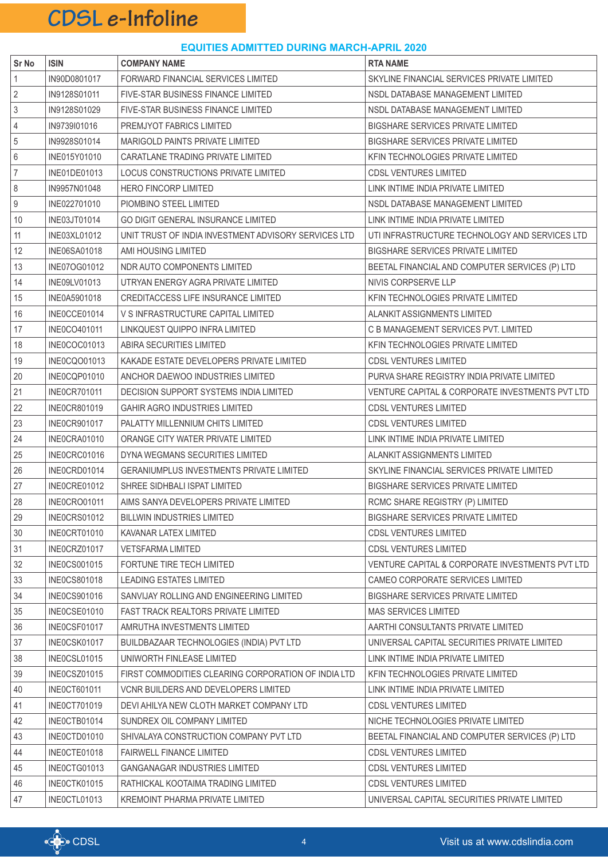#### **EQUITIES ADMITTED DURING MARCH-APRIL 2020**

| Sr No          | <b>ISIN</b>         | <b>COMPANY NAME</b>                                  | <b>RTA NAME</b>                                 |
|----------------|---------------------|------------------------------------------------------|-------------------------------------------------|
| $\mathbf{1}$   | IN90D0801017        | FORWARD FINANCIAL SERVICES LIMITED                   | SKYLINE FINANCIAL SERVICES PRIVATE LIMITED      |
| $\overline{2}$ | IN9128S01011        | FIVE-STAR BUSINESS FINANCE LIMITED                   | NSDL DATABASE MANAGEMENT LIMITED                |
| $\sqrt{3}$     | IN9128S01029        | FIVE-STAR BUSINESS FINANCE LIMITED                   | NSDL DATABASE MANAGEMENT LIMITED                |
| $\overline{4}$ | IN9739I01016        | PREMJYOT FABRICS LIMITED                             | <b>BIGSHARE SERVICES PRIVATE LIMITED</b>        |
| $\sqrt{5}$     | IN9928S01014        | MARIGOLD PAINTS PRIVATE LIMITED                      | <b>BIGSHARE SERVICES PRIVATE LIMITED</b>        |
| 6              | INE015Y01010        | CARATLANE TRADING PRIVATE LIMITED                    | KFIN TECHNOLOGIES PRIVATE LIMITED               |
| $\overline{7}$ | INE01DE01013        | LOCUS CONSTRUCTIONS PRIVATE LIMITED                  | <b>CDSL VENTURES LIMITED</b>                    |
| $\,8\,$        | IN9957N01048        | <b>HERO FINCORP LIMITED</b>                          | LINK INTIME INDIA PRIVATE LIMITED               |
| 9              | INE022701010        | PIOMBINO STEEL LIMITED                               | NSDL DATABASE MANAGEMENT LIMITED                |
| 10             | INE03JT01014        | GO DIGIT GENERAL INSURANCE LIMITED                   | LINK INTIME INDIA PRIVATE LIMITED               |
| 11             | INE03XL01012        | UNIT TRUST OF INDIA INVESTMENT ADVISORY SERVICES LTD | UTI INFRASTRUCTURE TECHNOLOGY AND SERVICES LTD  |
| 12             | <b>INE06SA01018</b> | AMI HOUSING LIMITED                                  | <b>BIGSHARE SERVICES PRIVATE LIMITED</b>        |
| 13             | INE07OG01012        | NDR AUTO COMPONENTS LIMITED                          | BEETAL FINANCIAL AND COMPUTER SERVICES (P) LTD  |
| 14             | INE09LV01013        | UTRYAN ENERGY AGRA PRIVATE LIMITED                   | NIVIS CORPSERVE LLP                             |
| 15             | INE0A5901018        | <b>CREDITACCESS LIFE INSURANCE LIMITED</b>           | KFIN TECHNOLOGIES PRIVATE LIMITED               |
| 16             | INE0CCE01014        | V S INFRASTRUCTURE CAPITAL LIMITED                   | ALANKIT ASSIGNMENTS LIMITED                     |
| 17             | INE0CO401011        | LINKQUEST QUIPPO INFRA LIMITED                       | C B MANAGEMENT SERVICES PVT. LIMITED            |
| 18             | INE0COC01013        | ABIRA SECURITIES LIMITED                             | KFIN TECHNOLOGIES PRIVATE LIMITED               |
| 19             | INE0CQO01013        | KAKADE ESTATE DEVELOPERS PRIVATE LIMITED             | CDSL VENTURES LIMITED                           |
| 20             | INE0CQP01010        | ANCHOR DAEWOO INDUSTRIES LIMITED                     | PURVA SHARE REGISTRY INDIA PRIVATE LIMITED      |
| 21             | <b>INE0CR701011</b> | DECISION SUPPORT SYSTEMS INDIA LIMITED               | VENTURE CAPITAL & CORPORATE INVESTMENTS PVT LTD |
| 22             | <b>INE0CR801019</b> | <b>GAHIR AGRO INDUSTRIES LIMITED</b>                 | <b>CDSL VENTURES LIMITED</b>                    |
| 23             | INE0CR901017        | PALATTY MILLENNIUM CHITS LIMITED                     | <b>CDSL VENTURES LIMITED</b>                    |
| 24             | INE0CRA01010        | ORANGE CITY WATER PRIVATE LIMITED                    | LINK INTIME INDIA PRIVATE LIMITED               |
| 25             | INE0CRC01016        | DYNA WEGMANS SECURITIES LIMITED                      | ALANKIT ASSIGNMENTS LIMITED                     |
| 26             | INE0CRD01014        | <b>GERANIUMPLUS INVESTMENTS PRIVATE LIMITED</b>      | SKYLINE FINANCIAL SERVICES PRIVATE LIMITED      |
| 27             | INE0CRE01012        | SHREE SIDHBALI ISPAT LIMITED                         | BIGSHARE SERVICES PRIVATE LIMITED               |
| 28             | INE0CRO01011        | AIMS SANYA DEVELOPERS PRIVATE LIMITED                | RCMC SHARE REGISTRY (P) LIMITED                 |
| 29             | INE0CRS01012        | <b>BILLWIN INDUSTRIES LIMITED</b>                    | <b>BIGSHARE SERVICES PRIVATE LIMITED</b>        |
| 30             | INEOCRT01010        | KAVANAR LATEX LIMITED                                | <b>CDSL VENTURES LIMITED</b>                    |
| 31             | <b>INE0CRZ01017</b> | <b>VETSFARMA LIMITED</b>                             | <b>CDSL VENTURES LIMITED</b>                    |
| 32             | <b>INE0CS001015</b> | FORTUNE TIRE TECH LIMITED                            | VENTURE CAPITAL & CORPORATE INVESTMENTS PVT LTD |
| 33             | <b>INE0CS801018</b> | <b>LEADING ESTATES LIMITED</b>                       | CAMEO CORPORATE SERVICES LIMITED                |
| 34             | <b>INE0CS901016</b> | SANVIJAY ROLLING AND ENGINEERING LIMITED             | <b>BIGSHARE SERVICES PRIVATE LIMITED</b>        |
| 35             | INE0CSE01010        | <b>FAST TRACK REALTORS PRIVATE LIMITED</b>           | <b>MAS SERVICES LIMITED</b>                     |
| 36             | INE0CSF01017        | AMRUTHA INVESTMENTS LIMITED                          | AARTHI CONSULTANTS PRIVATE LIMITED              |
| 37             | INE0CSK01017        | BUILDBAZAAR TECHNOLOGIES (INDIA) PVT LTD             | UNIVERSAL CAPITAL SECURITIES PRIVATE LIMITED    |
| 38             | INE0CSL01015        | UNIWORTH FINLEASE LIMITED                            | LINK INTIME INDIA PRIVATE LIMITED               |
| 39             | INEOCSZ01015        | FIRST COMMODITIES CLEARING CORPORATION OF INDIA LTD  | KFIN TECHNOLOGIES PRIVATE LIMITED               |
| 40             | <b>INE0CT601011</b> | <b>VCNR BUILDERS AND DEVELOPERS LIMITED</b>          | LINK INTIME INDIA PRIVATE LIMITED               |
| 41             | <b>INE0CT701019</b> | DEVI AHILYA NEW CLOTH MARKET COMPANY LTD             | <b>CDSL VENTURES LIMITED</b>                    |
| 42             | INE0CTB01014        | SUNDREX OIL COMPANY LIMITED                          | NICHE TECHNOLOGIES PRIVATE LIMITED              |
| 43             | INE0CTD01010        | SHIVALAYA CONSTRUCTION COMPANY PVT LTD               | BEETAL FINANCIAL AND COMPUTER SERVICES (P) LTD  |
| 44             | INEOCTE01018        | <b>FAIRWELL FINANCE LIMITED</b>                      | CDSL VENTURES LIMITED                           |
| 45             | INE0CTG01013        | <b>GANGANAGAR INDUSTRIES LIMITED</b>                 | <b>CDSL VENTURES LIMITED</b>                    |
| 46             | INEOCTK01015        | RATHICKAL KOOTAIMA TRADING LIMITED                   | <b>CDSL VENTURES LIMITED</b>                    |
| 47             | INE0CTL01013        | KREMOINT PHARMA PRIVATE LIMITED                      | UNIVERSAL CAPITAL SECURITIES PRIVATE LIMITED    |

![](_page_3_Picture_3.jpeg)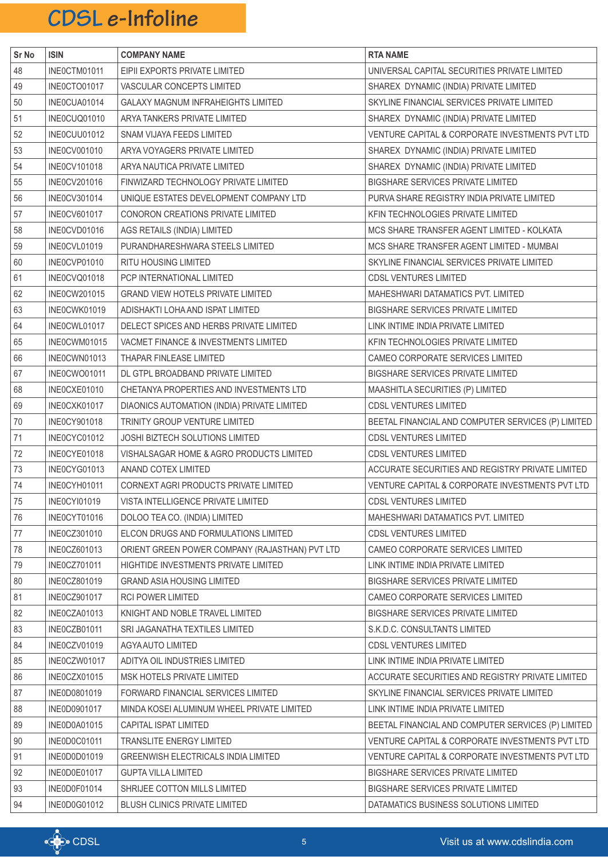| Sr No  | <b>ISIN</b>         | <b>COMPANY NAME</b>                            | <b>RTA NAME</b>                                    |
|--------|---------------------|------------------------------------------------|----------------------------------------------------|
| 48     | INE0CTM01011        | EIPII EXPORTS PRIVATE LIMITED                  | UNIVERSAL CAPITAL SECURITIES PRIVATE LIMITED       |
| 49     | INE0CTO01017        | VASCULAR CONCEPTS LIMITED                      | SHAREX DYNAMIC (INDIA) PRIVATE LIMITED             |
| $50\,$ | INE0CUA01014        | GALAXY MAGNUM INFRAHEIGHTS LIMITED             | SKYLINE FINANCIAL SERVICES PRIVATE LIMITED         |
| 51     | INE0CUQ01010        | ARYA TANKERS PRIVATE LIMITED                   | SHAREX DYNAMIC (INDIA) PRIVATE LIMITED             |
| 52     | INE0CUU01012        | SNAM VIJAYA FEEDS LIMITED                      | VENTURE CAPITAL & CORPORATE INVESTMENTS PVT LTD    |
| 53     | <b>INE0CV001010</b> | ARYA VOYAGERS PRIVATE LIMITED                  | SHAREX DYNAMIC (INDIA) PRIVATE LIMITED             |
| 54     | <b>INE0CV101018</b> | ARYA NAUTICA PRIVATE LIMITED                   | SHAREX DYNAMIC (INDIA) PRIVATE LIMITED             |
| 55     | INE0CV201016        | FINWIZARD TECHNOLOGY PRIVATE LIMITED           | BIGSHARE SERVICES PRIVATE LIMITED                  |
| 56     | INE0CV301014        | UNIQUE ESTATES DEVELOPMENT COMPANY LTD         | PURVA SHARE REGISTRY INDIA PRIVATE LIMITED         |
| 57     | <b>INE0CV601017</b> | CONORON CREATIONS PRIVATE LIMITED              | KFIN TECHNOLOGIES PRIVATE LIMITED                  |
| 58     | INE0CVD01016        | AGS RETAILS (INDIA) LIMITED                    | MCS SHARE TRANSFER AGENT LIMITED - KOLKATA         |
| 59     | INE0CVL01019        | PURANDHARESHWARA STEELS LIMITED                | MCS SHARE TRANSFER AGENT LIMITED - MUMBAI          |
| 60     | INE0CVP01010        | RITU HOUSING LIMITED                           | SKYLINE FINANCIAL SERVICES PRIVATE LIMITED         |
| 61     | INE0CVQ01018        | PCP INTERNATIONAL LIMITED                      | <b>CDSL VENTURES LIMITED</b>                       |
| 62     | INE0CW201015        | GRAND VIEW HOTELS PRIVATE LIMITED              | MAHESHWARI DATAMATICS PVT. LIMITED                 |
| 63     | INE0CWK01019        | ADISHAKTI LOHA AND ISPAT LIMITED               | BIGSHARE SERVICES PRIVATE LIMITED                  |
| 64     | INE0CWL01017        | DELECT SPICES AND HERBS PRIVATE LIMITED        | LINK INTIME INDIA PRIVATE LIMITED                  |
| 65     | INE0CWM01015        | VACMET FINANCE & INVESTMENTS LIMITED           | KFIN TECHNOLOGIES PRIVATE LIMITED                  |
| 66     | INE0CWN01013        | THAPAR FINLEASE LIMITED                        | CAMEO CORPORATE SERVICES LIMITED                   |
| 67     | INE0CWO01011        | DL GTPL BROADBAND PRIVATE LIMITED              | BIGSHARE SERVICES PRIVATE LIMITED                  |
| 68     | INE0CXE01010        | CHETANYA PROPERTIES AND INVESTMENTS LTD        | MAASHITLA SECURITIES (P) LIMITED                   |
| 69     | INE0CXK01017        | DIAONICS AUTOMATION (INDIA) PRIVATE LIMITED    | <b>CDSL VENTURES LIMITED</b>                       |
| 70     | INE0CY901018        | TRINITY GROUP VENTURE LIMITED                  | BEETAL FINANCIAL AND COMPUTER SERVICES (P) LIMITED |
| 71     | INE0CYC01012        | JOSHI BIZTECH SOLUTIONS LIMITED                | <b>CDSL VENTURES LIMITED</b>                       |
| 72     | INE0CYE01018        | VISHALSAGAR HOME & AGRO PRODUCTS LIMITED       | <b>CDSL VENTURES LIMITED</b>                       |
| 73     | INE0CYG01013        | ANAND COTEX LIMITED                            | ACCURATE SECURITIES AND REGISTRY PRIVATE LIMITED   |
| 74     | INE0CYH01011        | CORNEXT AGRI PRODUCTS PRIVATE LIMITED          | VENTURE CAPITAL & CORPORATE INVESTMENTS PVT LTD    |
| 75     | <b>INE0CYI01019</b> | VISTA INTELLIGENCE PRIVATE LIMITED             | <b>CDSL VENTURES LIMITED</b>                       |
| 76     | INE0CYT01016        | DOLOO TEA CO. (INDIA) LIMITED                  | MAHESHWARI DATAMATICS PVT. LIMITED                 |
| $77$   | INE0CZ301010        | ELCON DRUGS AND FORMULATIONS LIMITED           | <b>CDSL VENTURES LIMITED</b>                       |
| 78     | INE0CZ601013        | ORIENT GREEN POWER COMPANY (RAJASTHAN) PVT LTD | CAMEO CORPORATE SERVICES LIMITED                   |
| 79     | INE0CZ701011        | HIGHTIDE INVESTMENTS PRIVATE LIMITED           | LINK INTIME INDIA PRIVATE LIMITED                  |
| 80     | INE0CZ801019        | <b>GRAND ASIA HOUSING LIMITED</b>              | BIGSHARE SERVICES PRIVATE LIMITED                  |
| 81     | INE0CZ901017        | <b>RCI POWER LIMITED</b>                       | CAMEO CORPORATE SERVICES LIMITED                   |
| 82     | INE0CZA01013        | KNIGHT AND NOBLE TRAVEL LIMITED                | <b>BIGSHARE SERVICES PRIVATE LIMITED</b>           |
| 83     | INE0CZB01011        | SRI JAGANATHA TEXTILES LIMITED                 | S.K.D.C. CONSULTANTS LIMITED                       |
| 84     | INE0CZV01019        | AGYA AUTO LIMITED                              | <b>CDSL VENTURES LIMITED</b>                       |
| 85     | INE0CZW01017        | ADITYA OIL INDUSTRIES LIMITED                  | LINK INTIME INDIA PRIVATE LIMITED                  |
| 86     | INE0CZX01015        | MSK HOTELS PRIVATE LIMITED                     | ACCURATE SECURITIES AND REGISTRY PRIVATE LIMITED   |
| 87     | INE0D0801019        | FORWARD FINANCIAL SERVICES LIMITED             | SKYLINE FINANCIAL SERVICES PRIVATE LIMITED         |
| 88     | INE0D0901017        | MINDA KOSEI ALUMINUM WHEEL PRIVATE LIMITED     | LINK INTIME INDIA PRIVATE LIMITED                  |
| 89     | <b>INE0D0A01015</b> | CAPITAL ISPAT LIMITED                          | BEETAL FINANCIAL AND COMPUTER SERVICES (P) LIMITED |
| $90\,$ | INE0D0C01011        | <b>TRANSLITE ENERGY LIMITED</b>                | VENTURE CAPITAL & CORPORATE INVESTMENTS PVT LTD    |
| 91     | INE0D0D01019        | <b>GREENWISH ELECTRICALS INDIA LIMITED</b>     | VENTURE CAPITAL & CORPORATE INVESTMENTS PVT LTD    |
| 92     | INEODOE01017        | <b>GUPTA VILLA LIMITED</b>                     | BIGSHARE SERVICES PRIVATE LIMITED                  |
| 93     | INEODOF01014        | SHRIJEE COTTON MILLS LIMITED                   | BIGSHARE SERVICES PRIVATE LIMITED                  |
| 94     | INE0D0G01012        | BLUSH CLINICS PRIVATE LIMITED                  | DATAMATICS BUSINESS SOLUTIONS LIMITED              |

![](_page_4_Picture_2.jpeg)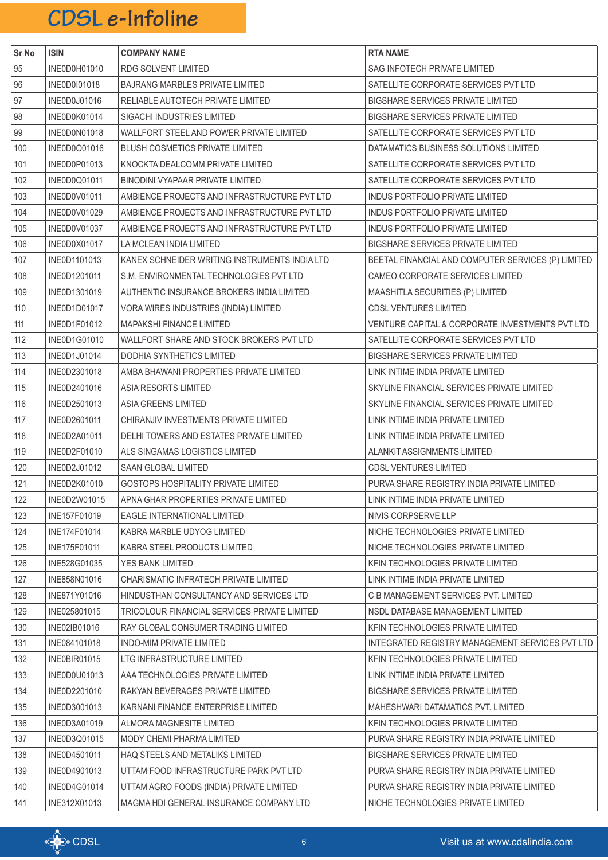| Sr No | <b>ISIN</b>         | <b>COMPANY NAME</b>                           | <b>RTA NAME</b>                                    |
|-------|---------------------|-----------------------------------------------|----------------------------------------------------|
| 95    | INE0D0H01010        | RDG SOLVENT LIMITED                           | SAG INFOTECH PRIVATE LIMITED                       |
| 96    | <b>INE0D0I01018</b> | BAJRANG MARBLES PRIVATE LIMITED               | SATELLITE CORPORATE SERVICES PVT LTD               |
| 97    | INE0D0J01016        | RELIABLE AUTOTECH PRIVATE LIMITED             | <b>BIGSHARE SERVICES PRIVATE LIMITED</b>           |
| 98    | INE0D0K01014        | SIGACHI INDUSTRIES LIMITED                    | <b>BIGSHARE SERVICES PRIVATE LIMITED</b>           |
| 99    | INE0D0N01018        | WALLFORT STEEL AND POWER PRIVATE LIMITED      | SATELLITE CORPORATE SERVICES PVT LTD               |
| 100   | INE0D0O01016        | BLUSH COSMETICS PRIVATE LIMITED               | DATAMATICS BUSINESS SOLUTIONS LIMITED              |
| 101   | INE0D0P01013        | KNOCKTA DEALCOMM PRIVATE LIMITED              | SATELLITE CORPORATE SERVICES PVT LTD               |
| 102   | INE0D0Q01011        | BINODINI VYAPAAR PRIVATE LIMITED              | SATELLITE CORPORATE SERVICES PVT LTD               |
| 103   | INE0D0V01011        | AMBIENCE PROJECTS AND INFRASTRUCTURE PVT LTD  | INDUS PORTFOLIO PRIVATE LIMITED                    |
| 104   | INE0D0V01029        | AMBIENCE PROJECTS AND INFRASTRUCTURE PVT LTD  | INDUS PORTFOLIO PRIVATE LIMITED                    |
| 105   | <b>INE0D0V01037</b> | AMBIENCE PROJECTS AND INFRASTRUCTURE PVT LTD  | INDUS PORTFOLIO PRIVATE LIMITED                    |
| 106   | INE0D0X01017        | LA MCLEAN INDIA LIMITED                       | BIGSHARE SERVICES PRIVATE LIMITED                  |
| 107   | INE0D1101013        | KANEX SCHNEIDER WRITING INSTRUMENTS INDIA LTD | BEETAL FINANCIAL AND COMPUTER SERVICES (P) LIMITED |
| 108   | INE0D1201011        | S.M. ENVIRONMENTAL TECHNOLOGIES PVT LTD       | CAMEO CORPORATE SERVICES LIMITED                   |
| 109   | INE0D1301019        | AUTHENTIC INSURANCE BROKERS INDIA LIMITED     | MAASHITLA SECURITIES (P) LIMITED                   |
| 110   | INE0D1D01017        | VORA WIRES INDUSTRIES (INDIA) LIMITED         | <b>CDSL VENTURES LIMITED</b>                       |
| 111   | INE0D1F01012        | MAPAKSHI FINANCE LIMITED                      | VENTURE CAPITAL & CORPORATE INVESTMENTS PVT LTD    |
| 112   | INE0D1G01010        | WALLFORT SHARE AND STOCK BROKERS PVT LTD      | SATELLITE CORPORATE SERVICES PVT LTD               |
| 113   | INE0D1J01014        | DODHIA SYNTHETICS LIMITED                     | <b>BIGSHARE SERVICES PRIVATE LIMITED</b>           |
| 114   | INE0D2301018        | AMBA BHAWANI PROPERTIES PRIVATE LIMITED       | LINK INTIME INDIA PRIVATE LIMITED                  |
| 115   | INE0D2401016        | ASIA RESORTS LIMITED                          | SKYLINE FINANCIAL SERVICES PRIVATE LIMITED         |
| 116   | INE0D2501013        | ASIA GREENS LIMITED                           | SKYLINE FINANCIAL SERVICES PRIVATE LIMITED         |
| 117   | INE0D2601011        | CHIRANJIV INVESTMENTS PRIVATE LIMITED         | LINK INTIME INDIA PRIVATE LIMITED                  |
| 118   | INE0D2A01011        | DELHI TOWERS AND ESTATES PRIVATE LIMITED      | LINK INTIME INDIA PRIVATE LIMITED                  |
| 119   | INE0D2F01010        | ALS SINGAMAS LOGISTICS LIMITED                | ALANKIT ASSIGNMENTS LIMITED                        |
| 120   | INE0D2J01012        | SAAN GLOBAL LIMITED                           | <b>CDSL VENTURES LIMITED</b>                       |
| 121   | INE0D2K01010        | GOSTOPS HOSPITALITY PRIVATE LIMITED           | PURVA SHARE REGISTRY INDIA PRIVATE LIMITED         |
| 122   | INE0D2W01015        | APNA GHAR PROPERTIES PRIVATE LIMITED          | LINK INTIME INDIA PRIVATE LIMITED                  |
| 123   | INE157F01019        | EAGLE INTERNATIONAL LIMITED                   | NIVIS CORPSERVE LLP                                |
| 124   | INE174F01014        | KABRA MARBLE UDYOG LIMITED                    | NICHE TECHNOLOGIES PRIVATE LIMITED                 |
| 125   | INE175F01011        | KABRA STEEL PRODUCTS LIMITED                  | NICHE TECHNOLOGIES PRIVATE LIMITED                 |
| 126   | INE528G01035        | YES BANK LIMITED                              | KFIN TECHNOLOGIES PRIVATE LIMITED                  |
| 127   | INE858N01016        | CHARISMATIC INFRATECH PRIVATE LIMITED         | LINK INTIME INDIA PRIVATE LIMITED                  |
| 128   | INE871Y01016        | HINDUSTHAN CONSULTANCY AND SERVICES LTD       | C B MANAGEMENT SERVICES PVT. LIMITED               |
| 129   | INE025801015        | TRICOLOUR FINANCIAL SERVICES PRIVATE LIMITED  | NSDL DATABASE MANAGEMENT LIMITED                   |
| 130   | INE02IB01016        | RAY GLOBAL CONSUMER TRADING LIMITED           | KFIN TECHNOLOGIES PRIVATE LIMITED                  |
| 131   | INE084101018        | INDO-MIM PRIVATE LIMITED                      | INTEGRATED REGISTRY MANAGEMENT SERVICES PVT LTD    |
| 132   | INE0BIR01015        | LTG INFRASTRUCTURE LIMITED                    | KFIN TECHNOLOGIES PRIVATE LIMITED                  |
| 133   | INE0D0U01013        | AAA TECHNOLOGIES PRIVATE LIMITED              | LINK INTIME INDIA PRIVATE LIMITED                  |
| 134   | INE0D2201010        | RAKYAN BEVERAGES PRIVATE LIMITED              | BIGSHARE SERVICES PRIVATE LIMITED                  |
| 135   | INE0D3001013        | KARNANI FINANCE ENTERPRISE LIMITED            | MAHESHWARI DATAMATICS PVT. LIMITED                 |
| 136   | INE0D3A01019        | ALMORA MAGNESITE LIMITED                      | KFIN TECHNOLOGIES PRIVATE LIMITED                  |
| 137   | INE0D3Q01015        | MODY CHEMI PHARMA LIMITED                     | PURVA SHARE REGISTRY INDIA PRIVATE LIMITED         |
| 138   | INE0D4501011        | HAQ STEELS AND METALIKS LIMITED               | <b>BIGSHARE SERVICES PRIVATE LIMITED</b>           |
| 139   | INE0D4901013        | UTTAM FOOD INFRASTRUCTURE PARK PVT LTD        | PURVA SHARE REGISTRY INDIA PRIVATE LIMITED         |
| 140   | INE0D4G01014        | UTTAM AGRO FOODS (INDIA) PRIVATE LIMITED      | PURVA SHARE REGISTRY INDIA PRIVATE LIMITED         |
| 141   | INE312X01013        | MAGMA HDI GENERAL INSURANCE COMPANY LTD       | NICHE TECHNOLOGIES PRIVATE LIMITED                 |

![](_page_5_Picture_2.jpeg)